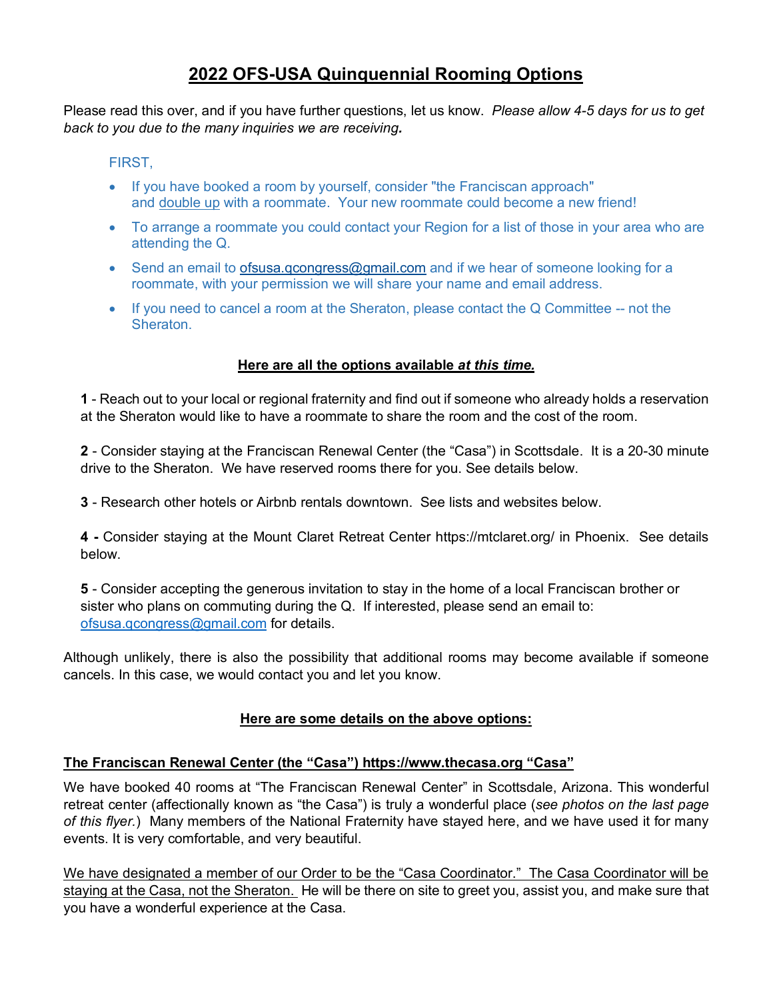# **2022 OFS-USA Quinquennial Rooming Options**

Please read this over, and if you have further questions, let us know. *Please allow 4-5 days for us to get back to you due to the many inquiries we are receiving.* 

### FIRST,

- If you have booked a room by yourself, consider "the Franciscan approach" and double up with a roommate. Your new roommate could become a new friend!
- To arrange a roommate you could contact your Region for a list of those in your area who are attending the Q.
- Send an email to [ofsusa.qcongress@gmail.com](mailto:ofsusa.qcongress@gmail.com) and if we hear of someone looking for a roommate, with your permission we will share your name and email address.
- If you need to cancel a room at the Sheraton, please contact the Q Committee -- not the Sheraton.

#### **Here are all the options available** *at this time.*

**1** - Reach out to your local or regional fraternity and find out if someone who already holds a reservation at the Sheraton would like to have a roommate to share the room and the cost of the room.

**2** - Consider staying at the Franciscan Renewal Center (the "Casa") in Scottsdale. It is a 20-30 minute drive to the Sheraton. We have reserved rooms there for you. See details below.

**3** - Research other hotels or Airbnb rentals downtown. See lists and websites below.

**4 -** Consider staying at the Mount Claret Retreat Center https://mtclaret.org/ in Phoenix. See details below.

**5** - Consider accepting the generous invitation to stay in the home of a local Franciscan brother or sister who plans on commuting during the Q. If interested, please send an email to: [ofsusa.qcongress@gmail.com](mailto:ofsusa.qcongress@gmail.com) for details.

Although unlikely, there is also the possibility that additional rooms may become available if someone cancels. In this case, we would contact you and let you know.

#### **Here are some details on the above options:**

## **The Franciscan Renewal Center (the "Casa") https://www.thecasa.org "Casa"**

We have booked 40 rooms at "The Franciscan Renewal Center" in Scottsdale, Arizona. This wonderful retreat center (affectionally known as "the Casa") is truly a wonderful place (*see photos on the last page of this flyer.*) Many members of the National Fraternity have stayed here, and we have used it for many events. It is very comfortable, and very beautiful.

We have designated a member of our Order to be the "Casa Coordinator." The Casa Coordinator will be staying at the Casa, not the Sheraton. He will be there on site to greet you, assist you, and make sure that you have a wonderful experience at the Casa.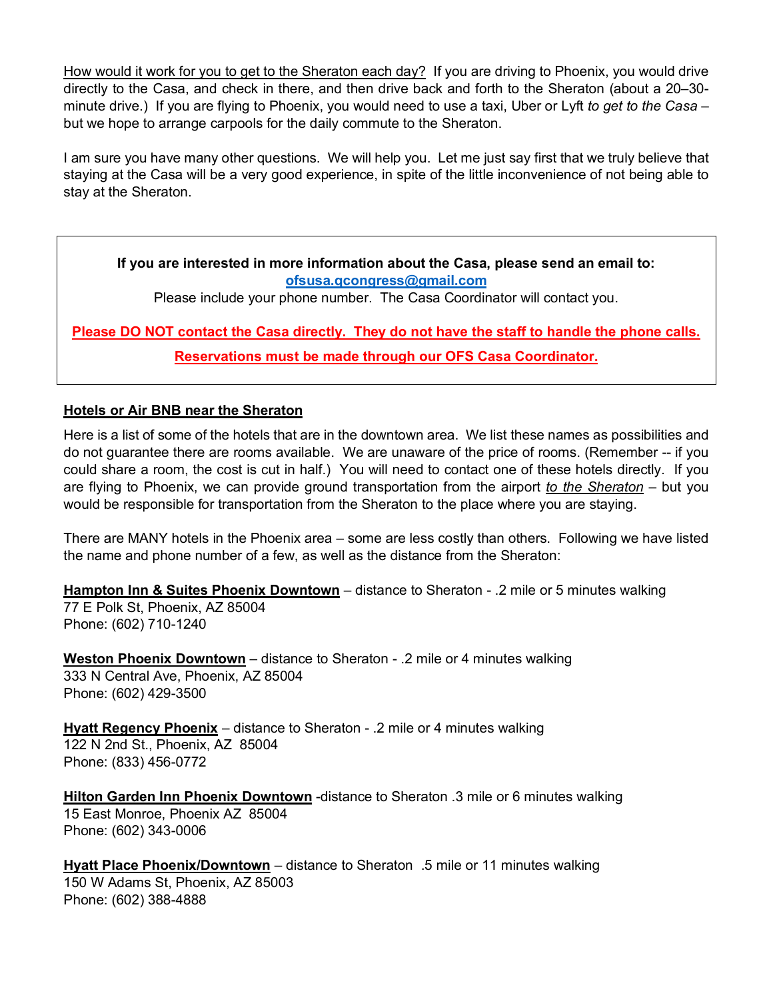How would it work for you to get to the Sheraton each day? If you are driving to Phoenix, you would drive directly to the Casa, and check in there, and then drive back and forth to the Sheraton (about a 20–30 minute drive.) If you are flying to Phoenix, you would need to use a taxi, Uber or Lyft *to get to the Casa* – but we hope to arrange carpools for the daily commute to the Sheraton.

I am sure you have many other questions. We will help you. Let me just say first that we truly believe that staying at the Casa will be a very good experience, in spite of the little inconvenience of not being able to stay at the Sheraton.

**If you are interested in more information about the Casa, please send an email to: [ofsusa.qcongress@gmail.com](mailto:ofsusa.qcongress@gmail.com)** 

Please include your phone number. The Casa Coordinator will contact you.

**Please DO NOT contact the Casa directly. They do not have the staff to handle the phone calls. Reservations must be made through our OFS Casa Coordinator.**

#### **Hotels or Air BNB near the Sheraton**

Here is a list of some of the hotels that are in the downtown area. We list these names as possibilities and do not guarantee there are rooms available. We are unaware of the price of rooms. (Remember -- if you could share a room, the cost is cut in half.) You will need to contact one of these hotels directly. If you are flying to Phoenix, we can provide ground transportation from the airport *to the Sheraton* – but you would be responsible for transportation from the Sheraton to the place where you are staying.

There are MANY hotels in the Phoenix area – some are less costly than others. Following we have listed the name and phone number of a few, as well as the distance from the Sheraton:

**Hampton Inn & Suites Phoenix Downtown** – distance to Sheraton - .2 mile or 5 minutes walking 77 E Polk St, Phoenix, AZ 85004 Phone: (602) 710-1240

**Weston Phoenix Downtown** – distance to Sheraton - .2 mile or 4 minutes walking 333 N Central Ave, Phoenix, AZ 85004 Phone: (602) 429-3500

**Hyatt Regency Phoenix** – distance to Sheraton - .2 mile or 4 minutes walking 122 N 2nd St., Phoenix, AZ 85004 Phone: (833) 456-0772

**Hilton Garden Inn Phoenix Downtown** -distance to Sheraton .3 mile or 6 minutes walking 15 East Monroe, Phoenix AZ 85004 Phone: (602) 343-0006

**Hyatt Place Phoenix/Downtown** – distance to Sheraton .5 mile or 11 minutes walking 150 W Adams St, Phoenix, AZ 85003 Phone: (602) 388-4888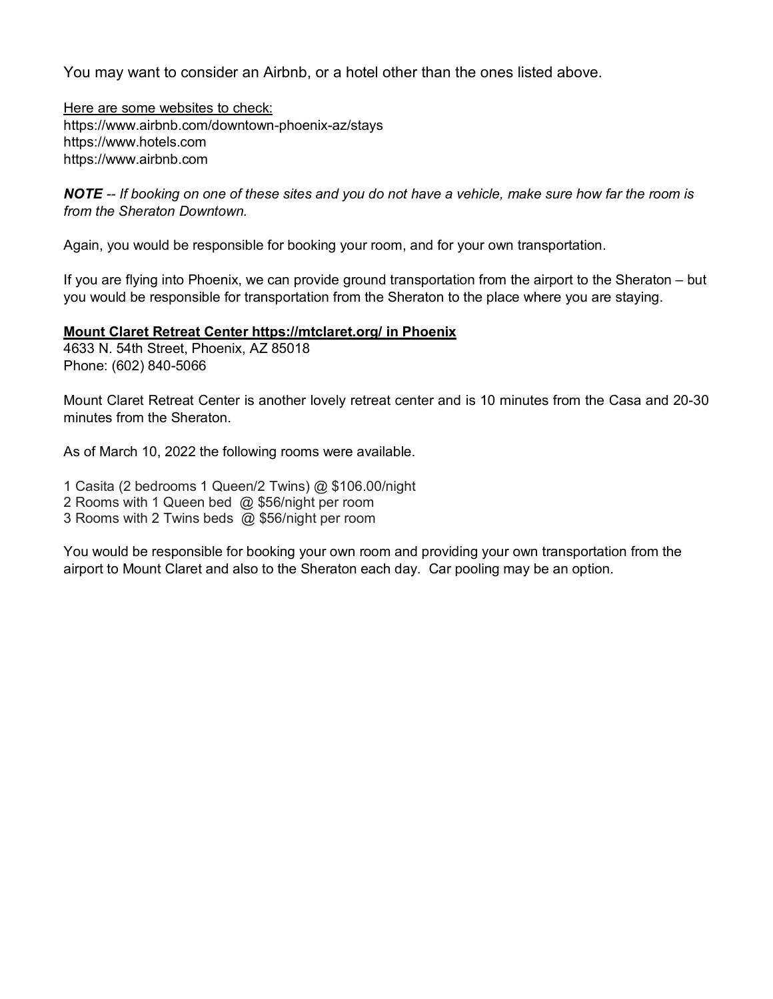You may want to consider an Airbnb, or a hotel other than the ones listed above.

Here are some websites to check: https://www.airbnb.com/downtown-phoenix-az/stays https://www.hotels.com https://www.airbnb.com

*NOTE -- If booking on one of these sites and you do not have a vehicle, make sure how far the room is from the Sheraton Downtown.* 

Again, you would be responsible for booking your room, and for your own transportation.

If you are flying into Phoenix, we can provide ground transportation from the airport to the Sheraton – but you would be responsible for transportation from the Sheraton to the place where you are staying.

#### **Mount Claret Retreat Center https://mtclaret.org/ in Phoenix**

4633 N. 54th Street, Phoenix, AZ 85018 Phone: (602) 840-5066

Mount Claret Retreat Center is another lovely retreat center and is 10 minutes from the Casa and 20-30 minutes from the Sheraton.

As of March 10, 2022 the following rooms were available.

1 Casita (2 bedrooms 1 Queen/2 Twins) @ \$106.00/night

2 Rooms with 1 Queen bed @ \$56/night per room

3 Rooms with 2 Twins beds @ \$56/night per room

You would be responsible for booking your own room and providing your own transportation from the airport to Mount Claret and also to the Sheraton each day. Car pooling may be an option.